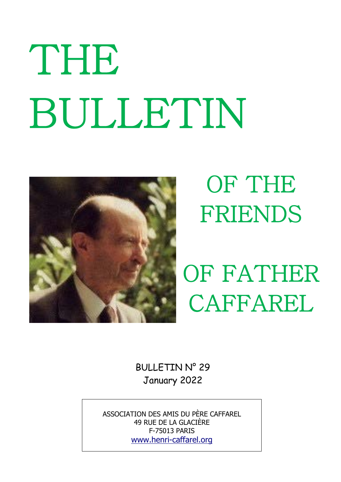# THE BULLETIN



# OF THE FRIENDS

OF FATHER CAFFAREL

BULLETIN N° 29 January 2022

ASSOCIATION DES AMIS DU PÈRE CAFFAREL 49 RUE DE LA GLACIÈRE F-75013 PARIS www.henri-caffarel.org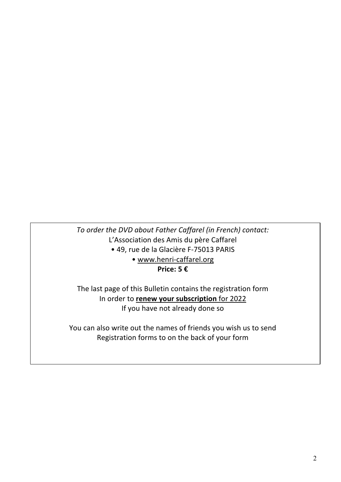*To order the DVD about Father Caffarel (in French) contact:* L'Association des Amis du père Caffarel • 49, rue de la Glacière F-75013 PARIS • www.henri-caffarel.org **Price: 5 €**

The last page of this Bulletin contains the registration form In order to **renew your subscription** for 2022 If you have not already done so

You can also write out the names of friends you wish us to send Registration forms to on the back of your form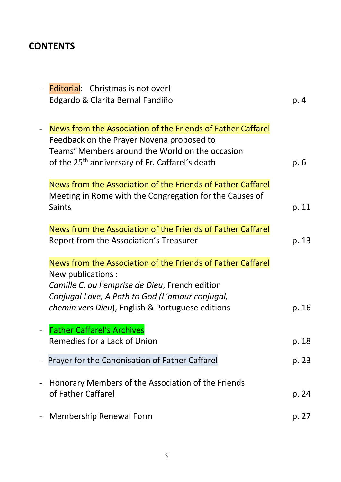# **CONTENTS**

| Editorial: Christmas is not over!                                                                                                                                                                                          |       |
|----------------------------------------------------------------------------------------------------------------------------------------------------------------------------------------------------------------------------|-------|
| Edgardo & Clarita Bernal Fandiño                                                                                                                                                                                           | p. 4  |
| News from the Association of the Friends of Father Caffarel<br>Feedback on the Prayer Novena proposed to<br>Teams' Members around the World on the occasion<br>of the 25 <sup>th</sup> anniversary of Fr. Caffarel's death | p. 6  |
| News from the Association of the Friends of Father Caffarel<br>Meeting in Rome with the Congregation for the Causes of<br>Saints                                                                                           | p. 11 |
| News from the Association of the Friends of Father Caffarel                                                                                                                                                                |       |
| Report from the Association's Treasurer                                                                                                                                                                                    | p. 13 |
| News from the Association of the Friends of Father Caffarel                                                                                                                                                                |       |
| New publications :<br>Camille C. ou l'emprise de Dieu, French edition<br>Conjugal Love, A Path to God (L'amour conjugal,                                                                                                   |       |
| chemin vers Dieu), English & Portuguese editions                                                                                                                                                                           | p. 16 |
| <b>Father Caffarel's Archives</b>                                                                                                                                                                                          |       |
| Remedies for a Lack of Union                                                                                                                                                                                               | p. 18 |
| Prayer for the Canonisation of Father Caffarel                                                                                                                                                                             | p. 23 |
| Honorary Members of the Association of the Friends<br>of Father Caffarel                                                                                                                                                   | p. 24 |
| <b>Membership Renewal Form</b>                                                                                                                                                                                             | p. 27 |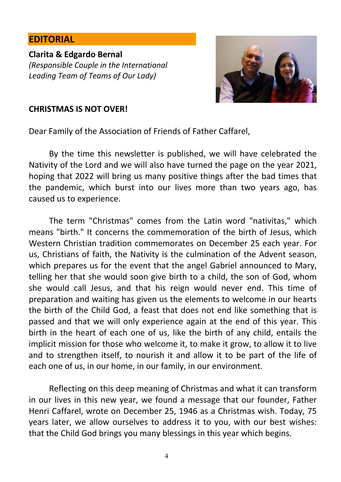#### **EDITORIAL**

**Clarita & Edgardo Bernal** *(Responsible Couple in the International Leading Team of Teams of Our Lady)*



#### **CHRISTMAS IS NOT OVER!**

Dear Family of the Association of Friends of Father Caffarel,

By the time this newsletter is published, we will have celebrated the Nativity of the Lord and we will also have turned the page on the year 2021, hoping that 2022 will bring us many positive things after the bad times that the pandemic, which burst into our lives more than two years ago, has caused us to experience.

The term "Christmas" comes from the Latin word "nativitas," which means "birth." It concerns the commemoration of the birth of Jesus, which Western Christian tradition commemorates on December 25 each year. For us, Christians of faith, the Nativity is the culmination of the Advent season, which prepares us for the event that the angel Gabriel announced to Mary, telling her that she would soon give birth to a child, the son of God, whom she would call Jesus, and that his reign would never end. This time of preparation and waiting has given us the elements to welcome in our hearts the birth of the Child God, a feast that does not end like something that is passed and that we will only experience again at the end of this year. This birth in the heart of each one of us, like the birth of any child, entails the implicit mission for those who welcome it, to make it grow, to allow it to live and to strengthen itself, to nourish it and allow it to be part of the life of each one of us, in our home, in our family, in our environment.

Reflecting on this deep meaning of Christmas and what it can transform in our lives in this new year, we found a message that our founder, Father Henri Caffarel, wrote on December 25, 1946 as a Christmas wish. Today, 75 years later, we allow ourselves to address it to you, with our best wishes: that the Child God brings you many blessings in this year which begins.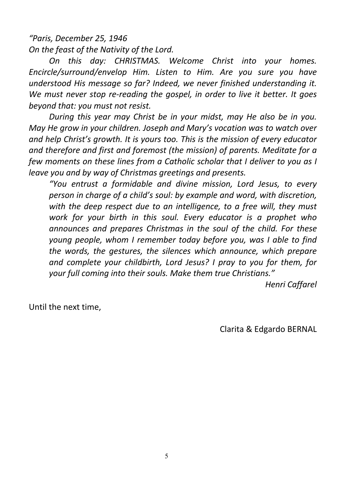*"Paris, December 25, 1946 On the feast of the Nativity of the Lord.*

*On this day: CHRISTMAS. Welcome Christ into your homes. Encircle/surround/envelop Him. Listen to Him. Are you sure you have understood His message so far? Indeed, we never finished understanding it. We must never stop re-reading the gospel, in order to live it better. It goes beyond that: you must not resist.*

*During this year may Christ be in your midst, may He also be in you. May He grow in your children. Joseph and Mary's vocation was to watch over and help Christ's growth. It is yours too. This is the mission of every educator and therefore and first and foremost (the mission) of parents. Meditate for a few moments on these lines from a Catholic scholar that I deliver to you as I leave you and by way of Christmas greetings and presents.*

*"You entrust a formidable and divine mission, Lord Jesus, to every person in charge of a child's soul: by example and word, with discretion, with the deep respect due to an intelligence, to a free will, they must work for your birth in this soul. Every educator is a prophet who announces and prepares Christmas in the soul of the child. For these young people, whom I remember today before you, was I able to find the words, the gestures, the silences which announce, which prepare and complete your childbirth, Lord Jesus? I pray to you for them, for your full coming into their souls. Make them true Christians."*

*Henri Caffarel*

Until the next time,

Clarita & Edgardo BERNAL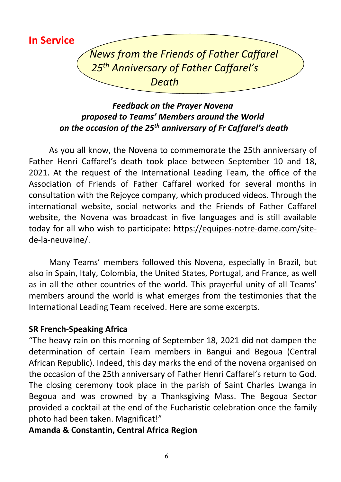**In Service**

*News from the Friends of Father Caffarel 25th Anniversary of Father Caffarel's Death*

# *Feedback on the Prayer Novena proposed to Teams' Members around the World on the occasion of the 25th anniversary of Fr Caffarel's death*

As you all know, the Novena to commemorate the 25th anniversary of Father Henri Caffarel's death took place between September 10 and 18, 2021. At the request of the International Leading Team, the office of the Association of Friends of Father Caffarel worked for several months in consultation with the Rejoyce company, which produced videos. Through the international website, social networks and the Friends of Father Caffarel website, the Novena was broadcast in five languages and is still available today for all who wish to participate: https://equipes-notre-dame.com/sitede-la-neuvaine/.

Many Teams' members followed this Novena, especially in Brazil, but also in Spain, Italy, Colombia, the United States, Portugal, and France, as well as in all the other countries of the world. This prayerful unity of all Teams' members around the world is what emerges from the testimonies that the International Leading Team received. Here are some excerpts.

#### **SR French-Speaking Africa**

"The heavy rain on this morning of September 18, 2021 did not dampen the determination of certain Team members in Bangui and Begoua (Central African Republic). Indeed, this day marks the end of the novena organised on the occasion of the 25th anniversary of Father Henri Caffarel's return to God. The closing ceremony took place in the parish of Saint Charles Lwanga in Begoua and was crowned by a Thanksgiving Mass. The Begoua Sector provided a cocktail at the end of the Eucharistic celebration once the family photo had been taken. Magnificat!"

#### **Amanda & Constantin, Central Africa Region**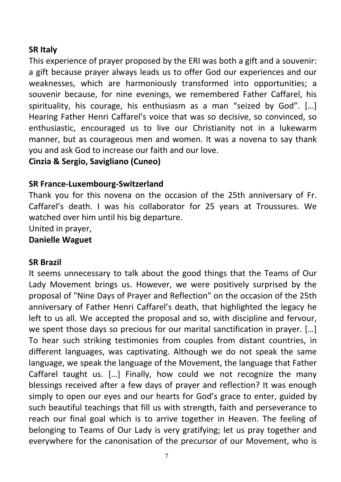#### **SR Italy**

This experience of prayer proposed by the ERI was both a gift and a souvenir: a gift because prayer always leads us to offer God our experiences and our weaknesses, which are harmoniously transformed into opportunities; a souvenir because, for nine evenings, we remembered Father Caffarel, his spirituality, his courage, his enthusiasm as a man "seized by God". […] Hearing Father Henri Caffarel's voice that was so decisive, so convinced, so enthusiastic, encouraged us to live our Christianity not in a lukewarm manner, but as courageous men and women. It was a novena to say thank you and ask God to increase our faith and our love.

**Cinzia & Sergio, Savigliano (Cuneo)**

#### **SR France-Luxembourg-Switzerland**

Thank you for this novena on the occasion of the 25th anniversary of Fr. Caffarel's death. I was his collaborator for 25 years at Troussures. We watched over him until his big departure.

United in prayer,

#### **Danielle Waguet**

#### **SR Brazil**

It seems unnecessary to talk about the good things that the Teams of Our Lady Movement brings us. However, we were positively surprised by the proposal of "Nine Days of Prayer and Reflection" on the occasion of the 25th anniversary of Father Henri Caffarel's death, that highlighted the legacy he left to us all. We accepted the proposal and so, with discipline and fervour, we spent those days so precious for our marital sanctification in prayer. […] To hear such striking testimonies from couples from distant countries, in different languages, was captivating. Although we do not speak the same language, we speak the language of the Movement, the language that Father Caffarel taught us. […] Finally, how could we not recognize the many blessings received after a few days of prayer and reflection? It was enough simply to open our eyes and our hearts for God's grace to enter, guided by such beautiful teachings that fill us with strength, faith and perseverance to reach our final goal which is to arrive together in Heaven. The feeling of belonging to Teams of Our Lady is very gratifying; let us pray together and everywhere for the canonisation of the precursor of our Movement, who is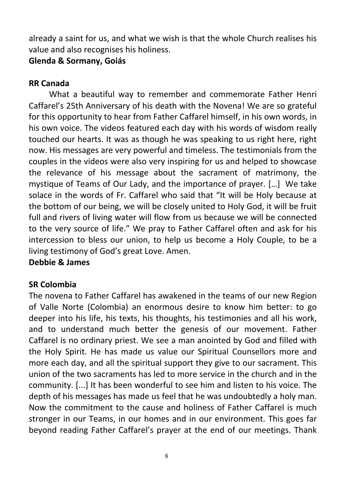already a saint for us, and what we wish is that the whole Church realises his value and also recognises his holiness.

#### **Glenda & Sormany, Goiás**

#### **RR Canada**

What a beautiful way to remember and commemorate Father Henri Caffarel's 25th Anniversary of his death with the Novena! We are so grateful for this opportunity to hear from Father Caffarel himself, in his own words, in his own voice. The videos featured each day with his words of wisdom really touched our hearts. It was as though he was speaking to us right here, right now. His messages are very powerful and timeless. The testimonials from the couples in the videos were also very inspiring for us and helped to showcase the relevance of his message about the sacrament of matrimony, the mystique of Teams of Our Lady, and the importance of prayer. […] We take solace in the words of Fr. Caffarel who said that "It will be Holy because at the bottom of our being, we will be closely united to Holy God, it will be fruit full and rivers of living water will flow from us because we will be connected to the very source of life." We pray to Father Caffarel often and ask for his intercession to bless our union, to help us become a Holy Couple, to be a living testimony of God's great Love. Amen.

#### **Debbie & James**

#### **SR Colombia**

The novena to Father Caffarel has awakened in the teams of our new Region of Valle Norte (Colombia) an enormous desire to know him better: to go deeper into his life, his texts, his thoughts, his testimonies and all his work, and to understand much better the genesis of our movement. Father Caffarel is no ordinary priest. We see a man anointed by God and filled with the Holy Spirit. He has made us value our Spiritual Counsellors more and more each day, and all the spiritual support they give to our sacrament. This union of the two sacraments has led to more service in the church and in the community. [...] It has been wonderful to see him and listen to his voice. The depth of his messages has made us feel that he was undoubtedly a holy man. Now the commitment to the cause and holiness of Father Caffarel is much stronger in our Teams, in our homes and in our environment. This goes far beyond reading Father Caffarel's prayer at the end of our meetings. Thank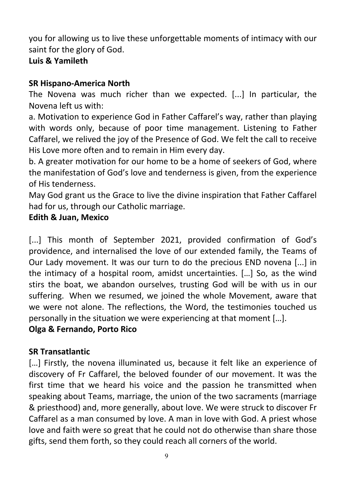you for allowing us to live these unforgettable moments of intimacy with our saint for the glory of God.

# **Luis & Yamileth**

# **SR Hispano-America North**

The Novena was much richer than we expected. [...] In particular, the Novena left us with:

a. Motivation to experience God in Father Caffarel's way, rather than playing with words only, because of poor time management. Listening to Father Caffarel, we relived the joy of the Presence of God. We felt the call to receive His Love more often and to remain in Him every day.

b. A greater motivation for our home to be a home of seekers of God, where the manifestation of God's love and tenderness is given, from the experience of His tenderness.

May God grant us the Grace to live the divine inspiration that Father Caffarel had for us, through our Catholic marriage.

# **Edith & Juan, Mexico**

[...] This month of September 2021, provided confirmation of God's providence, and internalised the love of our extended family, the Teams of Our Lady movement. It was our turn to do the precious END novena [...] in the intimacy of a hospital room, amidst uncertainties. […] So, as the wind stirs the boat, we abandon ourselves, trusting God will be with us in our suffering. When we resumed, we joined the whole Movement, aware that we were not alone. The reflections, the Word, the testimonies touched us personally in the situation we were experiencing at that moment […].

#### **Olga & Fernando, Porto Rico**

#### **SR Transatlantic**

[...] Firstly, the novena illuminated us, because it felt like an experience of discovery of Fr Caffarel, the beloved founder of our movement. It was the first time that we heard his voice and the passion he transmitted when speaking about Teams, marriage, the union of the two sacraments (marriage & priesthood) and, more generally, about love. We were struck to discover Fr Caffarel as a man consumed by love. A man in love with God. A priest whose love and faith were so great that he could not do otherwise than share those gifts, send them forth, so they could reach all corners of the world.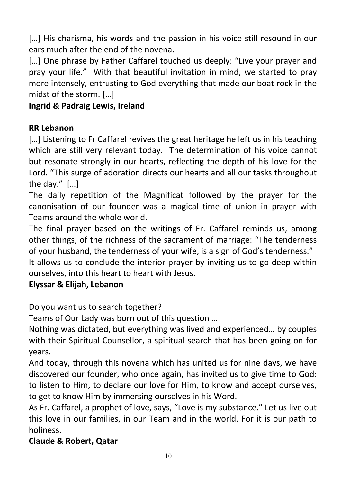[...] His charisma, his words and the passion in his voice still resound in our ears much after the end of the novena.

[...] One phrase by Father Caffarel touched us deeply: "Live your prayer and pray your life." With that beautiful invitation in mind, we started to pray more intensely, entrusting to God everything that made our boat rock in the midst of the storm. […]

# **Ingrid & Padraig Lewis, Ireland**

# **RR Lebanon**

[...] Listening to Fr Caffarel revives the great heritage he left us in his teaching which are still very relevant today. The determination of his voice cannot but resonate strongly in our hearts, reflecting the depth of his love for the Lord. "This surge of adoration directs our hearts and all our tasks throughout the day." […]

The daily repetition of the Magnificat followed by the prayer for the canonisation of our founder was a magical time of union in prayer with Teams around the whole world.

The final prayer based on the writings of Fr. Caffarel reminds us, among other things, of the richness of the sacrament of marriage: "The tenderness of your husband, the tenderness of your wife, is a sign of God's tenderness."

It allows us to conclude the interior prayer by inviting us to go deep within ourselves, into this heart to heart with Jesus.

# **Elyssar & Elijah, Lebanon**

Do you want us to search together?

Teams of Our Lady was born out of this question …

Nothing was dictated, but everything was lived and experienced… by couples with their Spiritual Counsellor, a spiritual search that has been going on for years.

And today, through this novena which has united us for nine days, we have discovered our founder, who once again, has invited us to give time to God: to listen to Him, to declare our love for Him, to know and accept ourselves, to get to know Him by immersing ourselves in his Word.

As Fr. Caffarel, a prophet of love, says, "Love is my substance." Let us live out this love in our families, in our Team and in the world. For it is our path to holiness.

# **Claude & Robert, Qatar**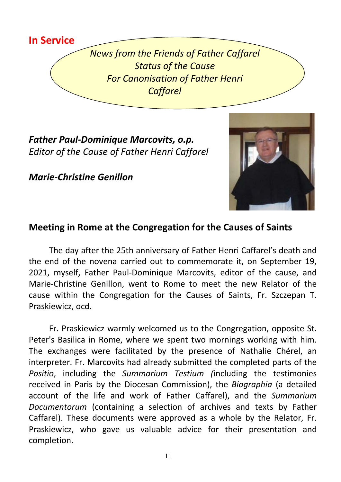

*News from the Friends of Father Caffarel Status of the Cause For Canonisation of Father Henri Caffarel*

*Father Paul-Dominique Marcovits, o.p. Editor of the Cause of Father Henri Caffarel*

*Marie-Christine Genillon* 



# **Meeting in Rome at the Congregation for the Causes of Saints**

The day after the 25th anniversary of Father Henri Caffarel's death and the end of the novena carried out to commemorate it, on September 19, 2021, myself, Father Paul-Dominique Marcovits, editor of the cause, and Marie-Christine Genillon, went to Rome to meet the new Relator of the cause within the Congregation for the Causes of Saints, Fr. Szczepan T. Praskiewicz, ocd.

Fr. Praskiewicz warmly welcomed us to the Congregation, opposite St. Peter's Basilica in Rome, where we spent two mornings working with him. The exchanges were facilitated by the presence of Nathalie Chérel, an interpreter. Fr. Marcovits had already submitted the completed parts of the *Positio*, including the *Summarium Testium (*including the testimonies received in Paris by the Diocesan Commission), the *Biographia* (a detailed account of the life and work of Father Caffarel), and the *Summarium Documentorum* (containing a selection of archives and texts by Father Caffarel). These documents were approved as a whole by the Relator, Fr. Praskiewicz, who gave us valuable advice for their presentation and completion.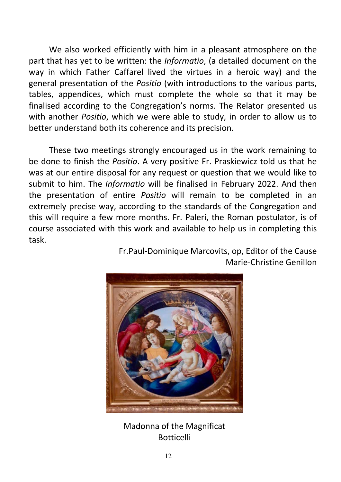We also worked efficiently with him in a pleasant atmosphere on the part that has yet to be written: the *Informatio*, (a detailed document on the way in which Father Caffarel lived the virtues in a heroic way) and the general presentation of the *Positio* (with introductions to the various parts, tables, appendices, which must complete the whole so that it may be finalised according to the Congregation's norms. The Relator presented us with another *Positio*, which we were able to study, in order to allow us to better understand both its coherence and its precision.

These two meetings strongly encouraged us in the work remaining to be done to finish the *Positio*. A very positive Fr. Praskiewicz told us that he was at our entire disposal for any request or question that we would like to submit to him. The *Informatio* will be finalised in February 2022. And then the presentation of entire *Positio* will remain to be completed in an extremely precise way, according to the standards of the Congregation and this will require a few more months. Fr. Paleri, the Roman postulator, is of course associated with this work and available to help us in completing this task.

> Fr.Paul-Dominique Marcovits, op, Editor of the Cause Marie-Christine Genillon



Madonna of the Magnificat Botticelli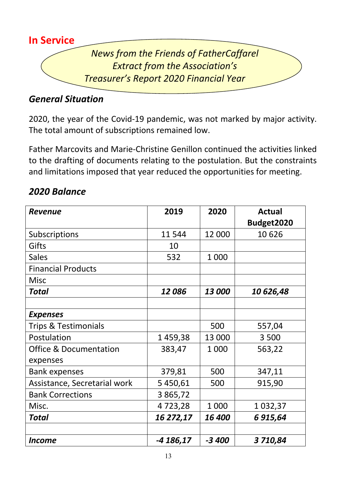

# *General Situation*

2020, the year of the Covid-19 pandemic, was not marked by major activity. The total amount of subscriptions remained low.

Father Marcovits and Marie-Christine Genillon continued the activities linked to the drafting of documents relating to the postulation. But the constraints and limitations imposed that year reduced the opportunities for meeting.

|  | 2020 Balance |
|--|--------------|
|  |              |

| <b>Revenue</b>                    | 2019      | 2020    | <b>Actual</b><br>Budget2020 |
|-----------------------------------|-----------|---------|-----------------------------|
| Subscriptions                     | 11544     | 12 000  | 10626                       |
| Gifts                             | 10        |         |                             |
| <b>Sales</b>                      | 532       | 1 0 0 0 |                             |
| <b>Financial Products</b>         |           |         |                             |
| <b>Misc</b>                       |           |         |                             |
| <b>Total</b>                      | 12086     | 13 000  | 10626,48                    |
|                                   |           |         |                             |
| <b>Expenses</b>                   |           |         |                             |
| <b>Trips &amp; Testimonials</b>   |           | 500     | 557,04                      |
| Postulation                       | 1459,38   | 13 000  | 3 500                       |
| <b>Office &amp; Documentation</b> | 383,47    | 1 0 0 0 | 563,22                      |
| expenses                          |           |         |                             |
| <b>Bank expenses</b>              | 379,81    | 500     | 347,11                      |
| Assistance, Secretarial work      | 5 450,61  | 500     | 915,90                      |
| <b>Bank Corrections</b>           | 3 865,72  |         |                             |
| Misc.                             | 4723,28   | 1 0 0 0 | 1 0 3 2 , 3 7               |
| <b>Total</b>                      | 16 272,17 | 16 400  | 6 915,64                    |
|                                   |           |         |                             |
| <b>Income</b>                     | -4 186,17 | $-3400$ | 3710,84                     |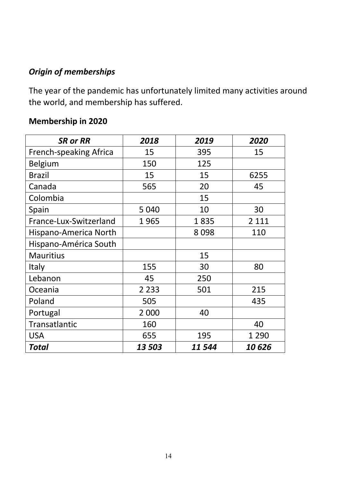# *Origin of memberships*

The year of the pandemic has unfortunately limited many activities around the world, and membership has suffered.

# **Membership in 2020**

| <b>SR or RR</b>               | 2018    | 2019   | 2020    |
|-------------------------------|---------|--------|---------|
| <b>French-speaking Africa</b> | 15      | 395    | 15      |
| <b>Belgium</b>                | 150     | 125    |         |
| <b>Brazil</b>                 | 15      | 15     | 6255    |
| Canada                        | 565     | 20     | 45      |
| Colombia                      |         | 15     |         |
| Spain                         | 5 0 4 0 | 10     | 30      |
| France-Lux-Switzerland        | 1965    | 1835   | 2 1 1 1 |
| Hispano-America North         |         | 8098   | 110     |
| Hispano-América South         |         |        |         |
| <b>Mauritius</b>              |         | 15     |         |
| Italy                         | 155     | 30     | 80      |
| Lebanon                       | 45      | 250    |         |
| Oceania                       | 2 2 3 3 | 501    | 215     |
| Poland                        | 505     |        | 435     |
| Portugal                      | 2 000   | 40     |         |
| Transatlantic                 | 160     |        | 40      |
| <b>USA</b>                    | 655     | 195    | 1 2 9 0 |
| Total                         | 13 503  | 11 544 | 10626   |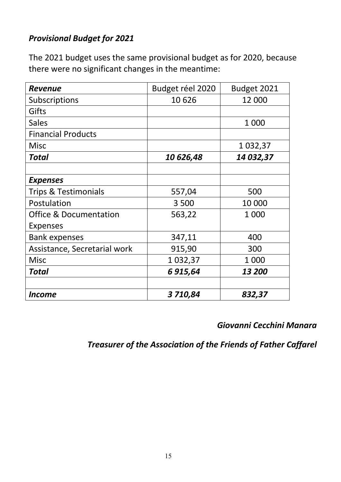# *Provisional Budget for 2021*

The 2021 budget uses the same provisional budget as for 2020, because there were no significant changes in the meantime:

| <b>Revenue</b>                    | Budget réel 2020 | Budget 2021   |
|-----------------------------------|------------------|---------------|
| Subscriptions                     | 10626            | 12 000        |
| Gifts                             |                  |               |
| <b>Sales</b>                      |                  | 1 000         |
| <b>Financial Products</b>         |                  |               |
| <b>Misc</b>                       |                  | 1 0 3 2 , 3 7 |
| <b>Total</b>                      | 10626,48         | 14 032,37     |
|                                   |                  |               |
| <b>Expenses</b>                   |                  |               |
| <b>Trips &amp; Testimonials</b>   | 557,04           | 500           |
| Postulation                       | 3500             | 10 000        |
| <b>Office &amp; Documentation</b> | 563,22           | 1 000         |
| <b>Expenses</b>                   |                  |               |
| <b>Bank expenses</b>              | 347,11           | 400           |
| Assistance, Secretarial work      | 915,90           | 300           |
| <b>Misc</b>                       | 1 0 3 2 , 3 7    | 1 000         |
| Total                             | 6 915,64         | 13 200        |
|                                   |                  |               |
| Income                            | 3710,84          | 832,37        |

### *Giovanni Cecchini Manara*

*Treasurer of the Association of the Friends of Father Caffarel*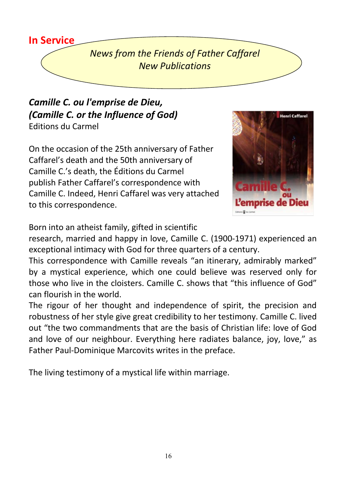# **In Service**

*News from the Friends of Father Caffarel New Publications*

# *Camille C. ou l'emprise de Dieu, (Camille C. or the Influence of God)*  Editions du Carmel

On the occasion of the 25th anniversary of Father Caffarel's death and the 50th anniversary of Camille C.'s death, the Éditions du Carmel publish Father Caffarel's correspondence with Camille C. Indeed, Henri Caffarel was very attached to this correspondence.



Born into an atheist family, gifted in scientific

research, married and happy in love, Camille C. (1900-1971) experienced an exceptional intimacy with God for three quarters of a century.

This correspondence with Camille reveals "an itinerary, admirably marked" by a mystical experience, which one could believe was reserved only for those who live in the cloisters. Camille C. shows that "this influence of God" can flourish in the world.

The rigour of her thought and independence of spirit, the precision and robustness of her style give great credibility to her testimony. Camille C. lived out "the two commandments that are the basis of Christian life: love of God and love of our neighbour. Everything here radiates balance, joy, love," as Father Paul-Dominique Marcovits writes in the preface.

The living testimony of a mystical life within marriage.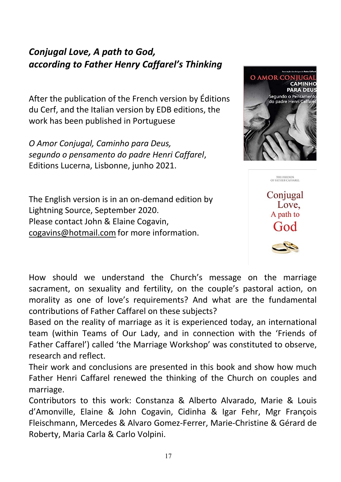# *Conjugal Love, A path to God, according to Father Henry Caffarel's Thinking*

After the publication of the French version by Éditions du Cerf, and the Italian version by EDB editions, the work has been published in Portuguese

*O Amor Conjugal, Caminho para Deus, segundo o pensamento do padre Henri Caffarel*, Editions Lucerna, Lisbonne, junho 2021.

The English version is in an on-demand edition by Lightning Source, September 2020. Please contact John & Elaine Cogavin, cogavins@hotmail.com for more information.



Conjugal Love. A path to God

THE FRIENDS<br>OF FATHER CAFFAREL

How should we understand the Church's message on the marriage sacrament, on sexuality and fertility, on the couple's pastoral action, on morality as one of love's requirements? And what are the fundamental contributions of Father Caffarel on these subjects?

Based on the reality of marriage as it is experienced today, an international team (within Teams of Our Lady, and in connection with the 'Friends of Father Caffarel') called 'the Marriage Workshop' was constituted to observe, research and reflect.

Their work and conclusions are presented in this book and show how much Father Henri Caffarel renewed the thinking of the Church on couples and marriage.

Contributors to this work: Constanza & Alberto Alvarado, Marie & Louis d'Amonville, Elaine & John Cogavin, Cidinha & Igar Fehr, Mgr François Fleischmann, Mercedes & Alvaro Gomez-Ferrer, Marie-Christine & Gérard de Roberty, Maria Carla & Carlo Volpini.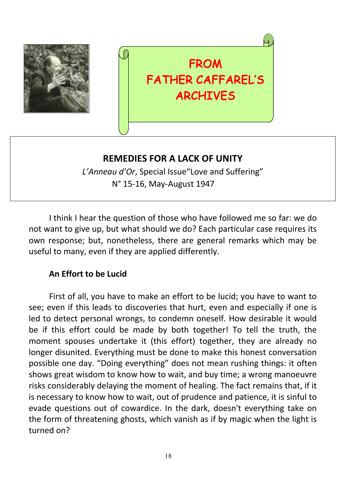

# FROM FATHER CAFFAREL'S ARCHIVES

# **REMEDIES FOR A LACK OF UNITY**

*L'Anneau d'Or*, Special Issue"Love and Suffering" N° 15-16, May-August 1947

I think I hear the question of those who have followed me so far: we do not want to give up, but what should we do? Each particular case requires its own response; but, nonetheless, there are general remarks which may be useful to many, even if they are applied differently.

#### **An Effort to be Lucid**

First of all, you have to make an effort to be lucid; you have to want to see; even if this leads to discoveries that hurt, even and especially if one is led to detect personal wrongs, to condemn oneself. How desirable it would be if this effort could be made by both together! To tell the truth, the moment spouses undertake it (this effort) together, they are already no longer disunited. Everything must be done to make this honest conversation possible one day. "Doing everything" does not mean rushing things: it often shows great wisdom to know how to wait, and buy time; a wrong manoeuvre risks considerably delaying the moment of healing. The fact remains that, if it is necessary to know how to wait, out of prudence and patience, it is sinful to evade questions out of cowardice. In the dark, doesn't everything take on the form of threatening ghosts, which vanish as if by magic when the light is turned on?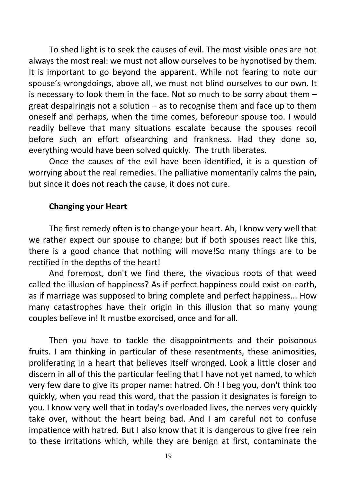To shed light is to seek the causes of evil. The most visible ones are not always the most real: we must not allow ourselves to be hypnotised by them. It is important to go beyond the apparent. While not fearing to note our spouse's wrongdoings, above all, we must not blind ourselves to our own. It is necessary to look them in the face. Not so much to be sorry about them – great despairingis not a solution – as to recognise them and face up to them oneself and perhaps, when the time comes, beforeour spouse too. I would readily believe that many situations escalate because the spouses recoil before such an effort ofsearching and frankness. Had they done so, everything would have been solved quickly. The truth liberates.

Once the causes of the evil have been identified, it is a question of worrying about the real remedies. The palliative momentarily calms the pain, but since it does not reach the cause, it does not cure.

#### **Changing your Heart**

The first remedy often is to change your heart. Ah, I know very well that we rather expect our spouse to change; but if both spouses react like this, there is a good chance that nothing will move!So many things are to be rectified in the depths of the heart!

And foremost, don't we find there, the vivacious roots of that weed called the illusion of happiness? As if perfect happiness could exist on earth, as if marriage was supposed to bring complete and perfect happiness... How many catastrophes have their origin in this illusion that so many young couples believe in! It mustbe exorcised, once and for all.

Then you have to tackle the disappointments and their poisonous fruits. I am thinking in particular of these resentments, these animosities, proliferating in a heart that believes itself wronged. Look a little closer and discern in all of this the particular feeling that I have not yet named, to which very few dare to give its proper name: hatred. Oh ! I beg you, don't think too quickly, when you read this word, that the passion it designates is foreign to you. I know very well that in today's overloaded lives, the nerves very quickly take over, without the heart being bad. And I am careful not to confuse impatience with hatred. But I also know that it is dangerous to give free rein to these irritations which, while they are benign at first, contaminate the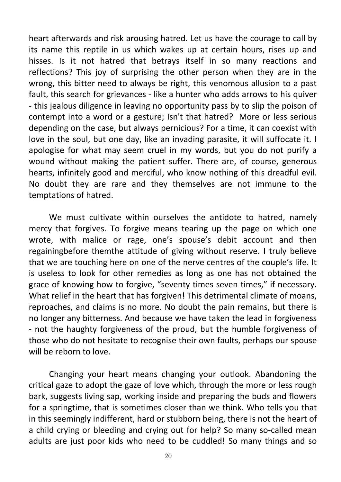heart afterwards and risk arousing hatred. Let us have the courage to call by its name this reptile in us which wakes up at certain hours, rises up and hisses. Is it not hatred that betrays itself in so many reactions and reflections? This joy of surprising the other person when they are in the wrong, this bitter need to always be right, this venomous allusion to a past fault, this search for grievances - like a hunter who adds arrows to his quiver - this jealous diligence in leaving no opportunity pass by to slip the poison of contempt into a word or a gesture; Isn't that hatred? More or less serious depending on the case, but always pernicious? For a time, it can coexist with love in the soul, but one day, like an invading parasite, it will suffocate it. I apologise for what may seem cruel in my words, but you do not purify a wound without making the patient suffer. There are, of course, generous hearts, infinitely good and merciful, who know nothing of this dreadful evil. No doubt they are rare and they themselves are not immune to the temptations of hatred.

We must cultivate within ourselves the antidote to hatred, namely mercy that forgives. To forgive means tearing up the page on which one wrote, with malice or rage, one's spouse's debit account and then regainingbefore themthe attitude of giving without reserve. I truly believe that we are touching here on one of the nerve centres of the couple's life. It is useless to look for other remedies as long as one has not obtained the grace of knowing how to forgive, "seventy times seven times," if necessary. What relief in the heart that has forgiven! This detrimental climate of moans, reproaches, and claims is no more. No doubt the pain remains, but there is no longer any bitterness. And because we have taken the lead in forgiveness - not the haughty forgiveness of the proud, but the humble forgiveness of those who do not hesitate to recognise their own faults, perhaps our spouse will be reborn to love.

Changing your heart means changing your outlook. Abandoning the critical gaze to adopt the gaze of love which, through the more or less rough bark, suggests living sap, working inside and preparing the buds and flowers for a springtime, that is sometimes closer than we think. Who tells you that in this seemingly indifferent, hard or stubborn being, there is not the heart of a child crying or bleeding and crying out for help? So many so-called mean adults are just poor kids who need to be cuddled! So many things and so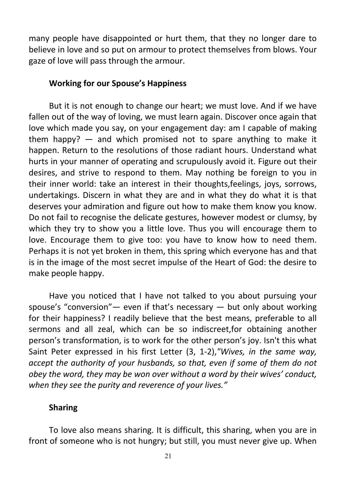many people have disappointed or hurt them, that they no longer dare to believe in love and so put on armour to protect themselves from blows. Your gaze of love will pass through the armour.

#### **Working for our Spouse's Happiness**

But it is not enough to change our heart; we must love. And if we have fallen out of the way of loving, we must learn again. Discover once again that love which made you say, on your engagement day: am I capable of making them happy? — and which promised not to spare anything to make it happen. Return to the resolutions of those radiant hours. Understand what hurts in your manner of operating and scrupulously avoid it. Figure out their desires, and strive to respond to them. May nothing be foreign to you in their inner world: take an interest in their thoughts,feelings, joys, sorrows, undertakings. Discern in what they are and in what they do what it is that deserves your admiration and figure out how to make them know you know. Do not fail to recognise the delicate gestures, however modest or clumsy, by which they try to show you a little love. Thus you will encourage them to love. Encourage them to give too: you have to know how to need them. Perhaps it is not yet broken in them, this spring which everyone has and that is in the image of the most secret impulse of the Heart of God: the desire to make people happy.

Have you noticed that I have not talked to you about pursuing your spouse's "conversion"— even if that's necessary — but only about working for their happiness? I readily believe that the best means, preferable to all sermons and all zeal, which can be so indiscreet,for obtaining another person's transformation, is to work for the other person's joy. Isn't this what Saint Peter expressed in his first Letter (3, 1-2),*"Wives, in the same way, accept the authority of your husbands, so that, even if some of them do not obey the word, they may be won over without a word by their wives' conduct, when they see the purity and reverence of your lives."*

#### **Sharing**

To love also means sharing. It is difficult, this sharing, when you are in front of someone who is not hungry; but still, you must never give up. When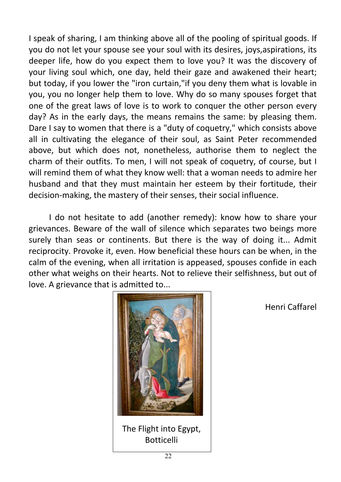I speak of sharing, I am thinking above all of the pooling of spiritual goods. If you do not let your spouse see your soul with its desires, joys,aspirations, its deeper life, how do you expect them to love you? It was the discovery of your living soul which, one day, held their gaze and awakened their heart; but today, if you lower the "iron curtain,"if you deny them what is lovable in you, you no longer help them to love. Why do so many spouses forget that one of the great laws of love is to work to conquer the other person every day? As in the early days, the means remains the same: by pleasing them. Dare I say to women that there is a "duty of coquetry," which consists above all in cultivating the elegance of their soul, as Saint Peter recommended above, but which does not, nonetheless, authorise them to neglect the charm of their outfits. To men, I will not speak of coquetry, of course, but I will remind them of what they know well: that a woman needs to admire her husband and that they must maintain her esteem by their fortitude, their decision-making, the mastery of their senses, their social influence.

I do not hesitate to add (another remedy): know how to share your grievances. Beware of the wall of silence which separates two beings more surely than seas or continents. But there is the way of doing it... Admit reciprocity. Provoke it, even. How beneficial these hours can be when, in the calm of the evening, when all irritation is appeased, spouses confide in each other what weighs on their hearts. Not to relieve their selfishness, but out of love. A grievance that is admitted to...



The Flight into Egypt, Botticelli

Henri Caffarel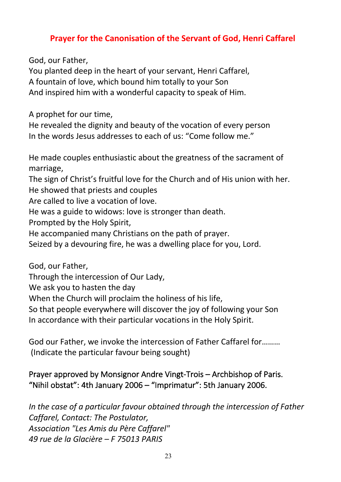#### **Prayer for the Canonisation of the Servant of God, Henri Caffarel**

God, our Father,

You planted deep in the heart of your servant, Henri Caffarel, A fountain of love, which bound him totally to your Son And inspired him with a wonderful capacity to speak of Him.

A prophet for our time,

He revealed the dignity and beauty of the vocation of every person In the words Jesus addresses to each of us: "Come follow me."

He made couples enthusiastic about the greatness of the sacrament of marriage,

The sign of Christ's fruitful love for the Church and of His union with her. He showed that priests and couples

Are called to live a vocation of love.

He was a guide to widows: love is stronger than death.

Prompted by the Holy Spirit,

He accompanied many Christians on the path of prayer.

Seized by a devouring fire, he was a dwelling place for you, Lord.

God, our Father,

Through the intercession of Our Lady,

We ask you to hasten the day

When the Church will proclaim the holiness of his life,

So that people everywhere will discover the joy of following your Son

In accordance with their particular vocations in the Holy Spirit.

God our Father, we invoke the intercession of Father Caffarel for……… (Indicate the particular favour being sought)

#### Prayer approved by Monsignor Andre Vingt-Trois – Archbishop of Paris. "Nihil obstat": 4th January 2006 – "Imprimatur": 5th January 2006.

*In the case of a particular favour obtained through the intercession of Father Caffarel, Contact: The Postulator, Association "Les Amis du Père Caffarel" 49 rue de la Glacière – F 75013 PARIS*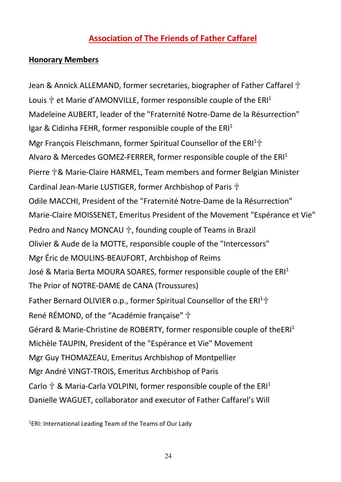# **Association of The Friends of Father Caffarel**

#### **Honorary Members**

Jean & Annick ALLEMAND, former secretaries, biographer of Father Caffarel † Louis  $\mathbb{F}$  et Marie d'AMONVILLE, former responsible couple of the ERI<sup>1</sup> Madeleine AUBERT, leader of the "Fraternité Notre-Dame de la Résurrection" Igar & Cidinha FEHR, former responsible couple of the  $ERI<sup>1</sup>$ Mgr François Fleischmann, former Spiritual Counsellor of the ERI<sup>1</sup>th Alvaro & Mercedes GOMEZ-FERRER, former responsible couple of the ERI<sup>1</sup> Pierre **†& Marie-Claire HARMEL, Team members and former Belgian Minister** Cardinal Jean-Marie LUSTIGER, former Archbishop of Paris <sup>+</sup> Odile MACCHI, President of the "Fraternité Notre-Dame de la Résurrection" Marie-Claire MOISSENET, Emeritus President of the Movement "Espérance et Vie" Pedro and Nancy MONCAU ✞, founding couple of Teams in Brazil Olivier & Aude de la MOTTE, responsible couple of the "Intercessors" Mgr Éric de MOULINS-BEAUFORT, Archbishop of Reims José & Maria Berta MOURA SOARES, former responsible couple of the  $ERI<sup>1</sup>$ The Prior of NOTRE-DAME de CANA (Troussures) Father Bernard OLIVIER o.p., former Spiritual Counsellor of the ERI<sup>1</sup>th René RÉMOND, of the "Académie française" ✞ Gérard & Marie-Christine de ROBERTY, former responsible couple of theERI<sup>1</sup> Michèle TAUPIN, President of the "Espérance et Vie" Movement Mgr Guy THOMAZEAU, Emeritus Archbishop of Montpellier Mgr André VINGT-TROIS, Emeritus Archbishop of Paris Carlo  $\hat{T}$  & Maria-Carla VOLPINI, former responsible couple of the ERI<sup>1</sup> Danielle WAGUET, collaborator and executor of Father Caffarel's Will

1 ERI: International Leading Team of the Teams of Our Lady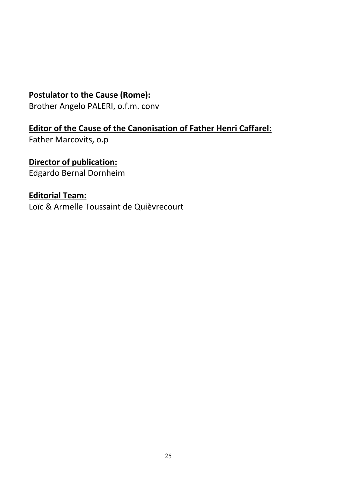# **Postulator to the Cause (Rome):**

Brother Angelo PALERI, o.f.m. conv

# **Editor of the Cause of the Canonisation of Father Henri Caffarel:**

Father Marcovits, o.p

# **Director of publication:**

Edgardo Bernal Dornheim

#### **Editorial Team:**

Loïc & Armelle Toussaint de Quièvrecourt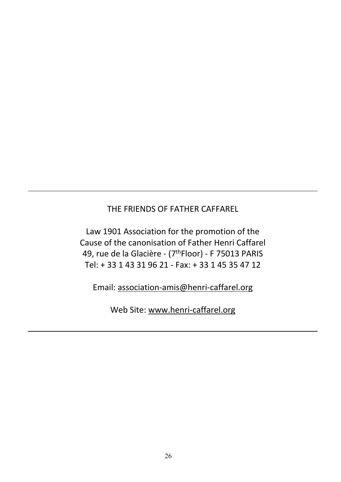#### THE FRIENDS OF FATHER CAFFAREL

Law 1901 Association for the promotion of the Cause of the canonisation of Father Henri Caffarel 49, rue de la Glacière - (7thFloor) - F 75013 PARIS Tel: + 33 1 43 31 96 21 - Fax: + 33 1 45 35 47 12

Email: association-amis@henri-caffarel.org

Web Site: www.henri-caffarel.org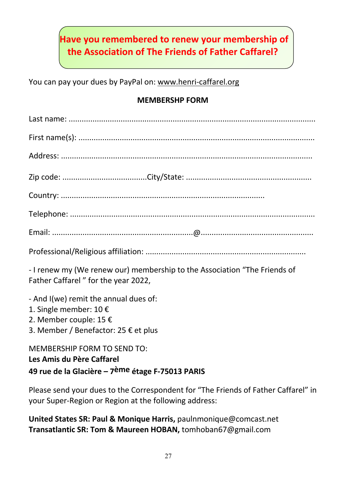# **Have you remembered to renew your membership of the Association of The Friends of Father Caffarel?**

You can pay your dues by PayPal on: www.henri-caffarel.org

#### **MEMBERSHP FORM**

| - I renew my (We renew our) membership to the Association "The Friends of<br>Father Caffarel" for the year 2022,                  |
|-----------------------------------------------------------------------------------------------------------------------------------|
| - And I(we) remit the annual dues of:<br>1. Single member: 10 €<br>2. Member couple: 15 €<br>3. Member / Benefactor: 25 € et plus |
| <b>MEMBERSHIP FORM TO SEND TO:</b>                                                                                                |

**Les Amis du Père Caffarel**

# **49 rue de la Glacière – 7ème étage F-75013 PARIS**

Please send your dues to the Correspondent for "The Friends of Father Caffarel" in your Super-Region or Region at the following address:

**United States SR: Paul & Monique Harris,** paulnmonique@comcast.net **Transatlantic SR: Tom & Maureen HOBAN,** tomhoban67@gmail.com